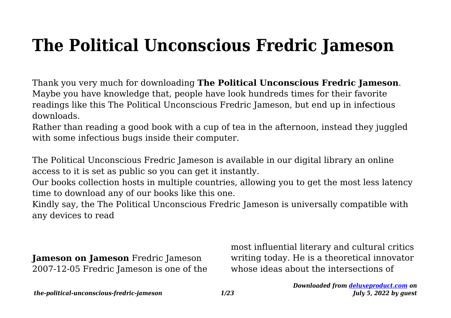## **The Political Unconscious Fredric Jameson**

Thank you very much for downloading **The Political Unconscious Fredric Jameson**. Maybe you have knowledge that, people have look hundreds times for their favorite readings like this The Political Unconscious Fredric Jameson, but end up in infectious downloads.

Rather than reading a good book with a cup of tea in the afternoon, instead they juggled with some infectious bugs inside their computer.

The Political Unconscious Fredric Jameson is available in our digital library an online access to it is set as public so you can get it instantly.

Our books collection hosts in multiple countries, allowing you to get the most less latency time to download any of our books like this one.

Kindly say, the The Political Unconscious Fredric Jameson is universally compatible with any devices to read

**Jameson on Jameson** Fredric Jameson 2007-12-05 Fredric Jameson is one of the most influential literary and cultural critics writing today. He is a theoretical innovator whose ideas about the intersections of

*the-political-unconscious-fredric-jameson 1/23*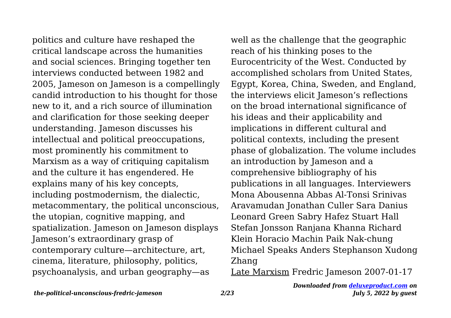politics and culture have reshaped the critical landscape across the humanities and social sciences. Bringing together ten interviews conducted between 1982 and 2005, Jameson on Jameson is a compellingly candid introduction to his thought for those new to it, and a rich source of illumination and clarification for those seeking deeper understanding. Jameson discusses his intellectual and political preoccupations, most prominently his commitment to Marxism as a way of critiquing capitalism and the culture it has engendered. He explains many of his key concepts, including postmodernism, the dialectic, metacommentary, the political unconscious, the utopian, cognitive mapping, and spatialization. Jameson on Jameson displays Jameson's extraordinary grasp of contemporary culture—architecture, art, cinema, literature, philosophy, politics, psychoanalysis, and urban geography—as

well as the challenge that the geographic reach of his thinking poses to the Eurocentricity of the West. Conducted by accomplished scholars from United States, Egypt, Korea, China, Sweden, and England, the interviews elicit Jameson's reflections on the broad international significance of his ideas and their applicability and implications in different cultural and political contexts, including the present phase of globalization. The volume includes an introduction by Jameson and a comprehensive bibliography of his publications in all languages. Interviewers Mona Abousenna Abbas Al-Tonsi Srinivas Aravamudan Jonathan Culler Sara Danius Leonard Green Sabry Hafez Stuart Hall Stefan Jonsson Ranjana Khanna Richard Klein Horacio Machin Paik Nak-chung Michael Speaks Anders Stephanson Xudong Zhang

Late Marxism Fredric Jameson 2007-01-17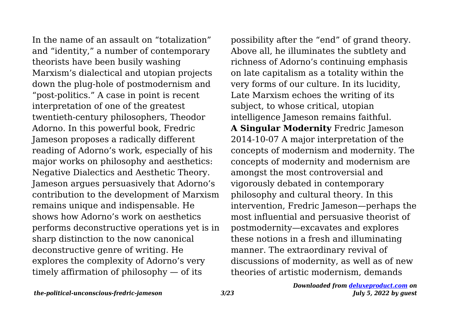In the name of an assault on "totalization" and "identity," a number of contemporary theorists have been busily washing Marxism's dialectical and utopian projects down the plug-hole of postmodernism and "post-politics." A case in point is recent interpretation of one of the greatest twentieth-century philosophers, Theodor Adorno. In this powerful book, Fredric Jameson proposes a radically different reading of Adorno's work, especially of his major works on philosophy and aesthetics: Negative Dialectics and Aesthetic Theory. Jameson argues persuasively that Adorno's contribution to the development of Marxism remains unique and indispensable. He shows how Adorno's work on aesthetics performs deconstructive operations yet is in sharp distinction to the now canonical deconstructive genre of writing. He explores the complexity of Adorno's very timely affirmation of philosophy — of its

possibility after the "end" of grand theory. Above all, he illuminates the subtlety and richness of Adorno's continuing emphasis on late capitalism as a totality within the very forms of our culture. In its lucidity, Late Marxism echoes the writing of its subject, to whose critical, utopian intelligence Jameson remains faithful. **A Singular Modernity** Fredric Jameson 2014-10-07 A major interpretation of the concepts of modernism and modernity. The concepts of modernity and modernism are amongst the most controversial and vigorously debated in contemporary philosophy and cultural theory. In this intervention, Fredric Jameson—perhaps the most influential and persuasive theorist of postmodernity—excavates and explores these notions in a fresh and illuminating manner. The extraordinary revival of discussions of modernity, as well as of new theories of artistic modernism, demands

*the-political-unconscious-fredric-jameson 3/23*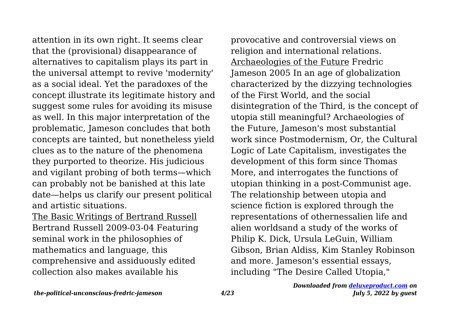attention in its own right. It seems clear that the (provisional) disappearance of alternatives to capitalism plays its part in the universal attempt to revive 'modernity' as a social ideal. Yet the paradoxes of the concept illustrate its legitimate history and suggest some rules for avoiding its misuse as well. In this major interpretation of the problematic, Jameson concludes that both concepts are tainted, but nonetheless yield clues as to the nature of the phenomena they purported to theorize. His judicious and vigilant probing of both terms—which can probably not be banished at this late date—helps us clarify our present political and artistic situations.

The Basic Writings of Bertrand Russell Bertrand Russell 2009-03-04 Featuring seminal work in the philosophies of mathematics and language, this comprehensive and assiduously edited collection also makes available his

provocative and controversial views on religion and international relations. Archaeologies of the Future Fredric Jameson 2005 In an age of globalization characterized by the dizzying technologies of the First World, and the social disintegration of the Third, is the concept of utopia still meaningful? Archaeologies of the Future, Jameson's most substantial work since Postmodernism, Or, the Cultural Logic of Late Capitalism, investigates the development of this form since Thomas More, and interrogates the functions of utopian thinking in a post-Communist age. The relationship between utopia and science fiction is explored through the representations of othernessalien life and alien worldsand a study of the works of Philip K. Dick, Ursula LeGuin, William Gibson, Brian Aldiss, Kim Stanley Robinson and more. Jameson's essential essays, including "The Desire Called Utopia,"

## *Downloaded from [deluxeproduct.com](http://deluxeproduct.com) on July 5, 2022 by guest*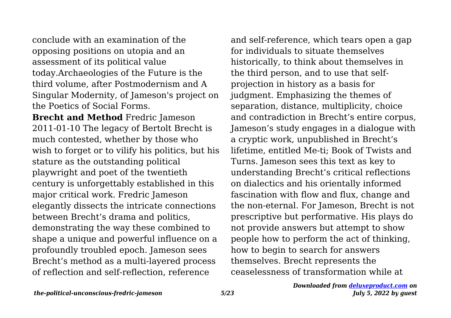conclude with an examination of the opposing positions on utopia and an assessment of its political value today.Archaeologies of the Future is the third volume, after Postmodernism and A Singular Modernity, of Jameson's project on the Poetics of Social Forms.

**Brecht and Method** Fredric Jameson 2011-01-10 The legacy of Bertolt Brecht is much contested, whether by those who wish to forget or to vilify his politics, but his stature as the outstanding political playwright and poet of the twentieth century is unforgettably established in this major critical work. Fredric Jameson elegantly dissects the intricate connections between Brecht's drama and politics, demonstrating the way these combined to shape a unique and powerful influence on a profoundly troubled epoch. Jameson sees Brecht's method as a multi-layered process of reflection and self-reflection, reference

and self-reference, which tears open a gap for individuals to situate themselves historically, to think about themselves in the third person, and to use that selfprojection in history as a basis for judgment. Emphasizing the themes of separation, distance, multiplicity, choice and contradiction in Brecht's entire corpus, Jameson's study engages in a dialogue with a cryptic work, unpublished in Brecht's lifetime, entitled Me-ti; Book of Twists and Turns. Jameson sees this text as key to understanding Brecht's critical reflections on dialectics and his orientally informed fascination with flow and flux, change and the non-eternal. For Jameson, Brecht is not prescriptive but performative. His plays do not provide answers but attempt to show people how to perform the act of thinking, how to begin to search for answers themselves. Brecht represents the ceaselessness of transformation while at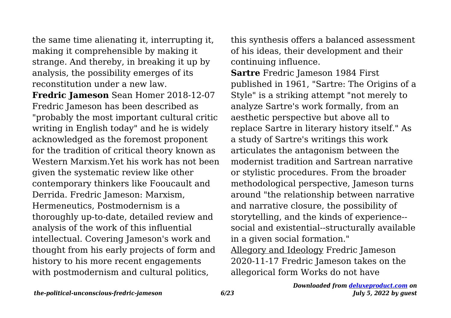the same time alienating it, interrupting it, making it comprehensible by making it strange. And thereby, in breaking it up by analysis, the possibility emerges of its reconstitution under a new law.

**Fredric Jameson** Sean Homer 2018-12-07 Fredric Jameson has been described as "probably the most important cultural critic writing in English today" and he is widely acknowledged as the foremost proponent for the tradition of critical theory known as Western Marxism.Yet his work has not been given the systematic review like other contemporary thinkers like Fooucault and Derrida. Fredric Jameson: Marxism, Hermeneutics, Postmodernism is a thoroughly up-to-date, detailed review and analysis of the work of this influential intellectual. Covering Jameson's work and thought from his early projects of form and history to his more recent engagements with postmodernism and cultural politics,

this synthesis offers a balanced assessment of his ideas, their development and their continuing influence.

**Sartre** Fredric Jameson 1984 First published in 1961, "Sartre: The Origins of a Style" is a striking attempt "not merely to analyze Sartre's work formally, from an aesthetic perspective but above all to replace Sartre in literary history itself." As a study of Sartre's writings this work articulates the antagonism between the modernist tradition and Sartrean narrative or stylistic procedures. From the broader methodological perspective, Jameson turns around "the relationship between narrative and narrative closure, the possibility of storytelling, and the kinds of experience- social and existential--structurally available in a given social formation." Allegory and Ideology Fredric Jameson 2020-11-17 Fredric Jameson takes on the allegorical form Works do not have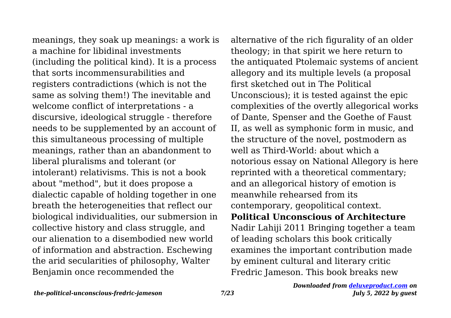meanings, they soak up meanings: a work is a machine for libidinal investments (including the political kind). It is a process that sorts incommensurabilities and registers contradictions (which is not the same as solving them!) The inevitable and welcome conflict of interpretations - a discursive, ideological struggle - therefore needs to be supplemented by an account of this simultaneous processing of multiple meanings, rather than an abandonment to liberal pluralisms and tolerant (or intolerant) relativisms. This is not a book about "method", but it does propose a dialectic capable of holding together in one breath the heterogeneities that reflect our biological individualities, our submersion in collective history and class struggle, and our alienation to a disembodied new world of information and abstraction. Eschewing the arid secularities of philosophy, Walter Benjamin once recommended the

alternative of the rich figurality of an older theology; in that spirit we here return to the antiquated Ptolemaic systems of ancient allegory and its multiple levels (a proposal first sketched out in The Political Unconscious); it is tested against the epic complexities of the overtly allegorical works of Dante, Spenser and the Goethe of Faust II, as well as symphonic form in music, and the structure of the novel, postmodern as well as Third-World: about which a notorious essay on National Allegory is here reprinted with a theoretical commentary; and an allegorical history of emotion is meanwhile rehearsed from its contemporary, geopolitical context. **Political Unconscious of Architecture** Nadir Lahiji 2011 Bringing together a team of leading scholars this book critically examines the important contribution made by eminent cultural and literary critic Fredric Jameson. This book breaks new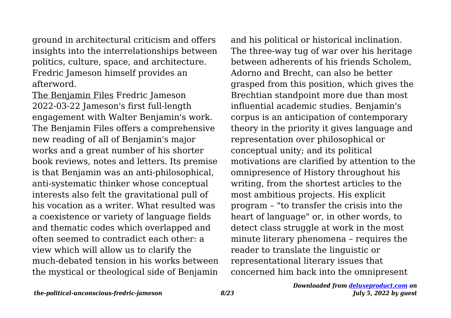ground in architectural criticism and offers insights into the interrelationships between politics, culture, space, and architecture. Fredric Jameson himself provides an afterword.

The Benjamin Files Fredric Jameson 2022-03-22 Jameson's first full-length engagement with Walter Benjamin's work. The Benjamin Files offers a comprehensive new reading of all of Benjamin's major works and a great number of his shorter book reviews, notes and letters. Its premise is that Benjamin was an anti-philosophical, anti-systematic thinker whose conceptual interests also felt the gravitational pull of his vocation as a writer. What resulted was a coexistence or variety of language fields and thematic codes which overlapped and often seemed to contradict each other: a view which will allow us to clarify the much-debated tension in his works between the mystical or theological side of Benjamin

and his political or historical inclination. The three-way tug of war over his heritage between adherents of his friends Scholem, Adorno and Brecht, can also be better grasped from this position, which gives the Brechtian standpoint more due than most influential academic studies. Benjamin's corpus is an anticipation of contemporary theory in the priority it gives language and representation over philosophical or conceptual unity; and its political motivations are clarified by attention to the omnipresence of History throughout his writing, from the shortest articles to the most ambitious projects. His explicit program – "to transfer the crisis into the heart of language" or, in other words, to detect class struggle at work in the most minute literary phenomena – requires the reader to translate the linguistic or representational literary issues that concerned him back into the omnipresent

*the-political-unconscious-fredric-jameson 8/23*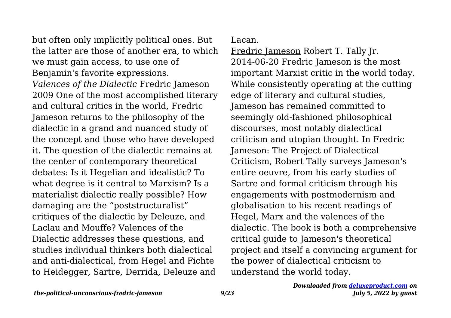but often only implicitly political ones. But the latter are those of another era, to which we must gain access, to use one of Benjamin's favorite expressions. *Valences of the Dialectic* Fredric Jameson 2009 One of the most accomplished literary and cultural critics in the world, Fredric Jameson returns to the philosophy of the dialectic in a grand and nuanced study of the concept and those who have developed it. The question of the dialectic remains at the center of contemporary theoretical debates: Is it Hegelian and idealistic? To what degree is it central to Marxism? Is a materialist dialectic really possible? How damaging are the "poststructuralist" critiques of the dialectic by Deleuze, and Laclau and Mouffe? Valences of the Dialectic addresses these questions, and studies individual thinkers both dialectical and anti-dialectical, from Hegel and Fichte to Heidegger, Sartre, Derrida, Deleuze and

Lacan.

Fredric Jameson Robert T. Tally Jr. 2014-06-20 Fredric Jameson is the most important Marxist critic in the world today. While consistently operating at the cutting edge of literary and cultural studies, Jameson has remained committed to seemingly old-fashioned philosophical discourses, most notably dialectical criticism and utopian thought. In Fredric Jameson: The Project of Dialectical Criticism, Robert Tally surveys Jameson's entire oeuvre, from his early studies of Sartre and formal criticism through his engagements with postmodernism and globalisation to his recent readings of Hegel, Marx and the valences of the dialectic. The book is both a comprehensive critical guide to Jameson's theoretical project and itself a convincing argument for the power of dialectical criticism to understand the world today.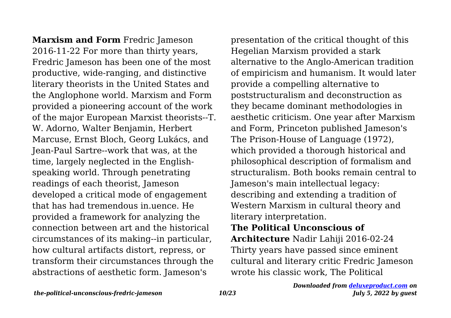**Marxism and Form** Fredric Jameson 2016-11-22 For more than thirty years, Fredric Jameson has been one of the most productive, wide-ranging, and distinctive literary theorists in the United States and the Anglophone world. Marxism and Form provided a pioneering account of the work of the major European Marxist theorists--T. W. Adorno, Walter Benjamin, Herbert Marcuse, Ernst Bloch, Georg Lukács, and Jean-Paul Sartre--work that was, at the time, largely neglected in the Englishspeaking world. Through penetrating readings of each theorist, Jameson developed a critical mode of engagement that has had tremendous in.uence. He provided a framework for analyzing the connection between art and the historical circumstances of its making--in particular, how cultural artifacts distort, repress, or transform their circumstances through the abstractions of aesthetic form. Jameson's

presentation of the critical thought of this Hegelian Marxism provided a stark alternative to the Anglo-American tradition of empiricism and humanism. It would later provide a compelling alternative to poststructuralism and deconstruction as they became dominant methodologies in aesthetic criticism. One year after Marxism and Form, Princeton published Jameson's The Prison-House of Language (1972), which provided a thorough historical and philosophical description of formalism and structuralism. Both books remain central to Jameson's main intellectual legacy: describing and extending a tradition of Western Marxism in cultural theory and literary interpretation.

## **The Political Unconscious of**

**Architecture** Nadir Lahiji 2016-02-24 Thirty years have passed since eminent cultural and literary critic Fredric Jameson wrote his classic work, The Political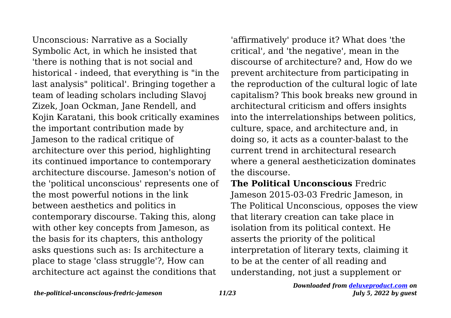Unconscious: Narrative as a Socially Symbolic Act, in which he insisted that 'there is nothing that is not social and historical - indeed, that everything is "in the last analysis" political'. Bringing together a team of leading scholars including Slavoj Zizek, Joan Ockman, Jane Rendell, and Kojin Karatani, this book critically examines the important contribution made by Jameson to the radical critique of architecture over this period, highlighting its continued importance to contemporary architecture discourse. Jameson's notion of the 'political unconscious' represents one of the most powerful notions in the link between aesthetics and politics in contemporary discourse. Taking this, along with other key concepts from Jameson, as the basis for its chapters, this anthology asks questions such as: Is architecture a place to stage 'class struggle'?, How can architecture act against the conditions that

'affirmatively' produce it? What does 'the critical', and 'the negative', mean in the discourse of architecture? and, How do we prevent architecture from participating in the reproduction of the cultural logic of late capitalism? This book breaks new ground in architectural criticism and offers insights into the interrelationships between politics, culture, space, and architecture and, in doing so, it acts as a counter-balast to the current trend in architectural research where a general aestheticization dominates the discourse.

**The Political Unconscious** Fredric Jameson 2015-03-03 Fredric Jameson, in The Political Unconscious, opposes the view that literary creation can take place in isolation from its political context. He asserts the priority of the political interpretation of literary texts, claiming it to be at the center of all reading and understanding, not just a supplement or

*the-political-unconscious-fredric-jameson 11/23*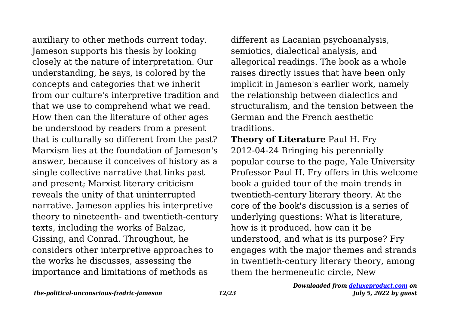auxiliary to other methods current today. Jameson supports his thesis by looking closely at the nature of interpretation. Our understanding, he says, is colored by the concepts and categories that we inherit from our culture's interpretive tradition and that we use to comprehend what we read. How then can the literature of other ages be understood by readers from a present that is culturally so different from the past? Marxism lies at the foundation of Jameson's answer, because it conceives of history as a single collective narrative that links past and present; Marxist literary criticism reveals the unity of that uninterrupted narrative. Jameson applies his interpretive theory to nineteenth- and twentieth-century texts, including the works of Balzac, Gissing, and Conrad. Throughout, he considers other interpretive approaches to the works he discusses, assessing the importance and limitations of methods as

different as Lacanian psychoanalysis, semiotics, dialectical analysis, and allegorical readings. The book as a whole raises directly issues that have been only implicit in Jameson's earlier work, namely the relationship between dialectics and structuralism, and the tension between the German and the French aesthetic traditions.

**Theory of Literature** Paul H. Fry 2012-04-24 Bringing his perennially popular course to the page, Yale University Professor Paul H. Fry offers in this welcome book a guided tour of the main trends in twentieth-century literary theory. At the core of the book's discussion is a series of underlying questions: What is literature, how is it produced, how can it be understood, and what is its purpose? Fry engages with the major themes and strands in twentieth-century literary theory, among them the hermeneutic circle, New

*the-political-unconscious-fredric-jameson 12/23*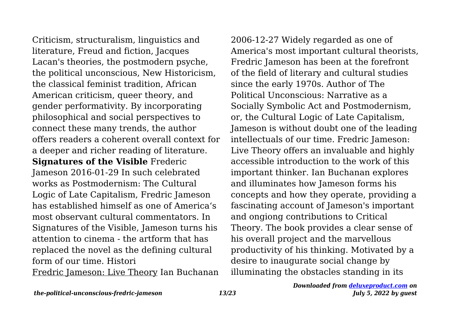Criticism, structuralism, linguistics and literature, Freud and fiction, Jacques Lacan's theories, the postmodern psyche, the political unconscious, New Historicism, the classical feminist tradition, African American criticism, queer theory, and gender performativity. By incorporating philosophical and social perspectives to connect these many trends, the author offers readers a coherent overall context for a deeper and richer reading of literature. **Signatures of the Visible** Frederic Jameson 2016-01-29 In such celebrated works as Postmodernism: The Cultural Logic of Late Capitalism, Fredric Jameson has established himself as one of America's most observant cultural commentators. In Signatures of the Visible, Jameson turns his attention to cinema - the artform that has replaced the novel as the defining cultural form of our time. Histori

Fredric Jameson: Live Theory Ian Buchanan

2006-12-27 Widely regarded as one of America's most important cultural theorists, Fredric Jameson has been at the forefront of the field of literary and cultural studies since the early 1970s. Author of The Political Unconscious: Narrative as a Socially Symbolic Act and Postmodernism, or, the Cultural Logic of Late Capitalism, Jameson is without doubt one of the leading intellectuals of our time. Fredric Jameson: Live Theory offers an invaluable and highly accessible introduction to the work of this important thinker. Ian Buchanan explores and illuminates how Jameson forms his concepts and how they operate, providing a fascinating account of Jameson's important and ongiong contributions to Critical Theory. The book provides a clear sense of his overall project and the marvellous productivity of his thinking. Motivated by a desire to inaugurate social change by illuminating the obstacles standing in its

*the-political-unconscious-fredric-jameson 13/23*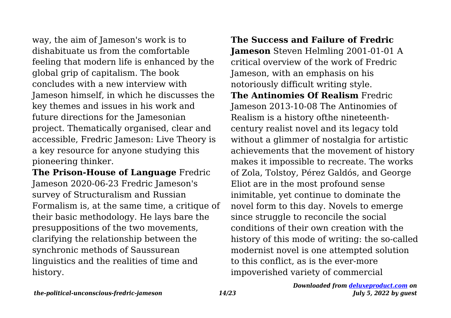way, the aim of Jameson's work is to dishabituate us from the comfortable feeling that modern life is enhanced by the global grip of capitalism. The book concludes with a new interview with Jameson himself, in which he discusses the key themes and issues in his work and future directions for the Jamesonian project. Thematically organised, clear and accessible, Fredric Jameson: Live Theory is a key resource for anyone studying this pioneering thinker.

**The Prison-House of Language** Fredric Jameson 2020-06-23 Fredric Jameson's survey of Structuralism and Russian Formalism is, at the same time, a critique of their basic methodology. He lays bare the presuppositions of the two movements, clarifying the relationship between the synchronic methods of Saussurean linguistics and the realities of time and history.

**The Success and Failure of Fredric Jameson** Steven Helmling 2001-01-01 A critical overview of the work of Fredric Jameson, with an emphasis on his notoriously difficult writing style. **The Antinomies Of Realism** Fredric Jameson 2013-10-08 The Antinomies of Realism is a history ofthe nineteenthcentury realist novel and its legacy told without a glimmer of nostalgia for artistic achievements that the movement of history makes it impossible to recreate. The works of Zola, Tolstoy, Pérez Galdós, and George Eliot are in the most profound sense inimitable, yet continue to dominate the novel form to this day. Novels to emerge since struggle to reconcile the social conditions of their own creation with the history of this mode of writing: the so-called modernist novel is one attempted solution to this conflict, as is the ever-more impoverished variety of commercial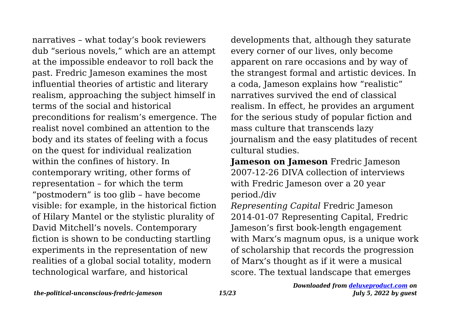narratives – what today's book reviewers dub "serious novels," which are an attempt at the impossible endeavor to roll back the past. Fredric Jameson examines the most influential theories of artistic and literary realism, approaching the subject himself in terms of the social and historical preconditions for realism's emergence. The realist novel combined an attention to the body and its states of feeling with a focus on the quest for individual realization within the confines of history. In contemporary writing, other forms of representation – for which the term "postmodern" is too glib – have become visible: for example, in the historical fiction of Hilary Mantel or the stylistic plurality of David Mitchell's novels. Contemporary fiction is shown to be conducting startling experiments in the representation of new realities of a global social totality, modern technological warfare, and historical

developments that, although they saturate every corner of our lives, only become apparent on rare occasions and by way of the strangest formal and artistic devices. In a coda, Jameson explains how "realistic" narratives survived the end of classical realism. In effect, he provides an argument for the serious study of popular fiction and mass culture that transcends lazy journalism and the easy platitudes of recent cultural studies.

**Jameson on Jameson** Fredric Jameson 2007-12-26 DIVA collection of interviews with Fredric Jameson over a 20 year period./div

*Representing Capital* Fredric Jameson 2014-01-07 Representing Capital, Fredric Jameson's first book-length engagement with Marx's magnum opus, is a unique work of scholarship that records the progression of Marx's thought as if it were a musical score. The textual landscape that emerges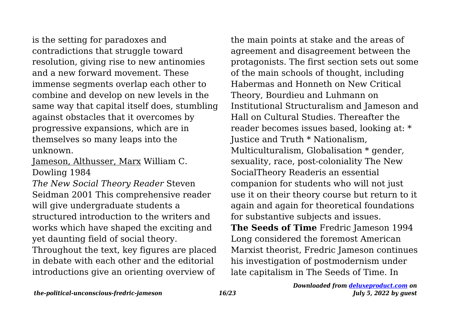is the setting for paradoxes and contradictions that struggle toward resolution, giving rise to new antinomies and a new forward movement. These immense segments overlap each other to combine and develop on new levels in the same way that capital itself does, stumbling against obstacles that it overcomes by progressive expansions, which are in themselves so many leaps into the unknown.

Jameson, Althusser, Marx William C. Dowling 1984

*The New Social Theory Reader* Steven Seidman 2001 This comprehensive reader will give undergraduate students a structured introduction to the writers and works which have shaped the exciting and yet daunting field of social theory.

Throughout the text, key figures are placed in debate with each other and the editorial introductions give an orienting overview of

the main points at stake and the areas of agreement and disagreement between the protagonists. The first section sets out some of the main schools of thought, including Habermas and Honneth on New Critical Theory, Bourdieu and Luhmann on Institutional Structuralism and Jameson and Hall on Cultural Studies. Thereafter the reader becomes issues based, looking at: \* Justice and Truth \* Nationalism, Multiculturalism, Globalisation \* gender, sexuality, race, post-coloniality The New SocialTheory Readeris an essential companion for students who will not just use it on their theory course but return to it again and again for theoretical foundations for substantive subjects and issues. **The Seeds of Time** Fredric Jameson 1994 Long considered the foremost American Marxist theorist, Fredric Jameson continues his investigation of postmodernism under

late capitalism in The Seeds of Time. In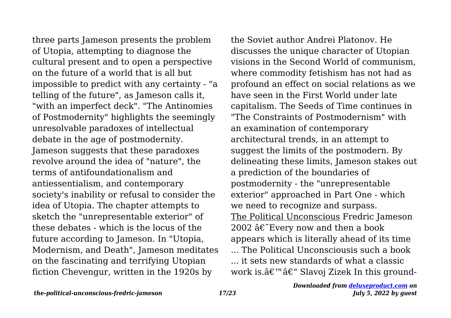three parts Jameson presents the problem of Utopia, attempting to diagnose the cultural present and to open a perspective on the future of a world that is all but impossible to predict with any certainty - "a telling of the future", as Jameson calls it, "with an imperfect deck". "The Antinomies of Postmodernity" highlights the seemingly unresolvable paradoxes of intellectual debate in the age of postmodernity. Jameson suggests that these paradoxes revolve around the idea of "nature", the terms of antifoundationalism and antiessentialism, and contemporary society's inability or refusal to consider the idea of Utopia. The chapter attempts to sketch the "unrepresentable exterior" of these debates - which is the locus of the future according to Jameson. In "Utopia, Modernism, and Death", Jameson meditates on the fascinating and terrifying Utopian fiction Chevengur, written in the 1920s by

the Soviet author Andrei Platonov. He discusses the unique character of Utopian visions in the Second World of communism, where commodity fetishism has not had as profound an effect on social relations as we have seen in the First World under late capitalism. The Seeds of Time continues in "The Constraints of Postmodernism" with an examination of contemporary architectural trends, in an attempt to suggest the limits of the postmodern. By delineating these limits, Jameson stakes out a prediction of the boundaries of postmodernity - the "unrepresentable exterior" approached in Part One - which we need to recognize and surpass. The Political Unconscious Fredric Jameson 2002  $\hat{a}\hat{\epsilon}$  Every now and then a book appears which is literally ahead of its time ... The Political Unconsciousis such a book ... it sets new standards of what a classic work is. $\hat{a} \in \mathbb{R}^m$   $\hat{a} \in \mathbb{C}^m$  Slavoj Zizek In this ground-

*the-political-unconscious-fredric-jameson 17/23*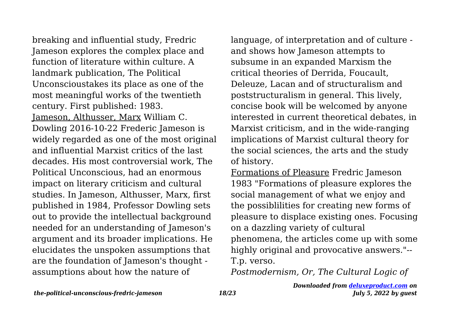breaking and influential study, Fredric Jameson explores the complex place and function of literature within culture. A landmark publication, The Political Unconscioustakes its place as one of the most meaningful works of the twentieth century. First published: 1983. Jameson, Althusser, Marx William C. Dowling 2016-10-22 Frederic Jameson is widely regarded as one of the most original and influential Marxist critics of the last decades. His most controversial work, The Political Unconscious, had an enormous impact on literary criticism and cultural studies. In Jameson, Althusser, Marx, first published in 1984, Professor Dowling sets out to provide the intellectual background needed for an understanding of Jameson's argument and its broader implications. He elucidates the unspoken assumptions that are the foundation of Jameson's thought assumptions about how the nature of

language, of interpretation and of culture and shows how Jameson attempts to subsume in an expanded Marxism the critical theories of Derrida, Foucault, Deleuze, Lacan and of structuralism and poststructuralism in general. This lively, concise book will be welcomed by anyone interested in current theoretical debates, in Marxist criticism, and in the wide-ranging implications of Marxist cultural theory for the social sciences, the arts and the study of history.

Formations of Pleasure Fredric Jameson 1983 "Formations of pleasure explores the social management of what we enjoy and the possiblilities for creating new forms of pleasure to displace existing ones. Focusing on a dazzling variety of cultural phenomena, the articles come up with some highly original and provocative answers."-- T.p. verso.

*Postmodernism, Or, The Cultural Logic of*

*Downloaded from [deluxeproduct.com](http://deluxeproduct.com) on July 5, 2022 by guest*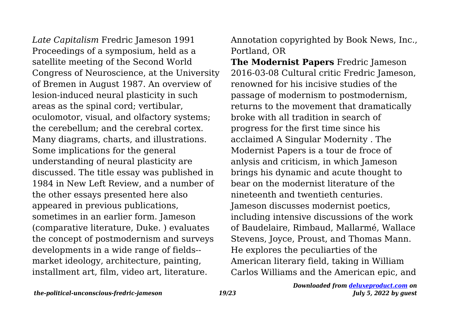*Late Capitalism* Fredric Jameson 1991 Proceedings of a symposium, held as a satellite meeting of the Second World Congress of Neuroscience, at the University of Bremen in August 1987. An overview of lesion-induced neural plasticity in such areas as the spinal cord; vertibular, oculomotor, visual, and olfactory systems; the cerebellum; and the cerebral cortex. Many diagrams, charts, and illustrations. Some implications for the general understanding of neural plasticity are discussed. The title essay was published in 1984 in New Left Review, and a number of the other essays presented here also appeared in previous publications, sometimes in an earlier form. Jameson (comparative literature, Duke. ) evaluates the concept of postmodernism and surveys developments in a wide range of fields- market ideology, architecture, painting, installment art, film, video art, literature.

Annotation copyrighted by Book News, Inc., Portland, OR

**The Modernist Papers** Fredric Jameson 2016-03-08 Cultural critic Fredric Jameson, renowned for his incisive studies of the passage of modernism to postmodernism, returns to the movement that dramatically broke with all tradition in search of progress for the first time since his acclaimed A Singular Modernity . The Modernist Papers is a tour de froce of anlysis and criticism, in which Jameson brings his dynamic and acute thought to bear on the modernist literature of the nineteenth and twentieth centuries. Jameson discusses modernist poetics, including intensive discussions of the work of Baudelaire, Rimbaud, Mallarmé, Wallace Stevens, Joyce, Proust, and Thomas Mann. He explores the peculiarties of the American literary field, taking in William Carlos Williams and the American epic, and

*the-political-unconscious-fredric-jameson 19/23*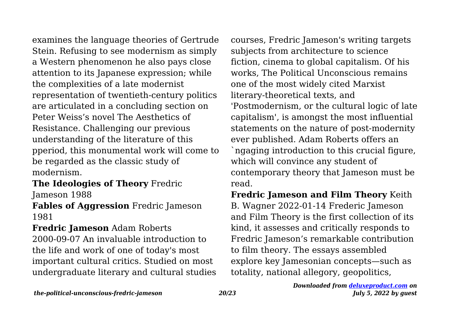examines the language theories of Gertrude Stein. Refusing to see modernism as simply a Western phenomenon he also pays close attention to its Japanese expression; while the complexities of a late modernist representation of twentieth-century politics are articulated in a concluding section on Peter Weiss's novel The Aesthetics of Resistance. Challenging our previous understanding of the literature of this pperiod, this monumental work will come to be regarded as the classic study of modernism.

**The Ideologies of Theory** Fredric Jameson 1988

**Fables of Aggression** Fredric Jameson 1981

**Fredric Jameson** Adam Roberts 2000-09-07 An invaluable introduction to the life and work of one of today's most important cultural critics. Studied on most undergraduate literary and cultural studies courses, Fredric Jameson's writing targets subjects from architecture to science fiction, cinema to global capitalism. Of his works, The Political Unconscious remains one of the most widely cited Marxist literary-theoretical texts, and 'Postmodernism, or the cultural logic of late capitalism', is amongst the most influential statements on the nature of post-modernity ever published. Adam Roberts offers an `ngaging introduction to this crucial figure, which will convince any student of contemporary theory that Jameson must be read.

**Fredric Jameson and Film Theory** Keith B. Wagner 2022-01-14 Frederic Jameson and Film Theory is the first collection of its kind, it assesses and critically responds to Fredric Jameson's remarkable contribution to film theory. The essays assembled explore key Jamesonian concepts—such as totality, national allegory, geopolitics,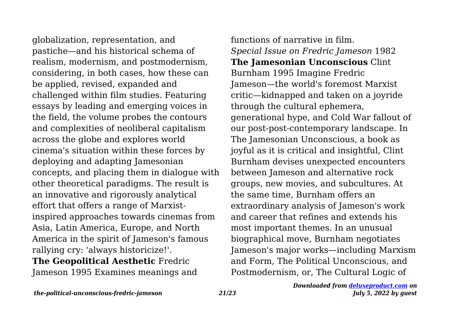globalization, representation, and pastiche—and his historical schema of realism, modernism, and postmodernism, considering, in both cases, how these can be applied, revised, expanded and challenged within film studies. Featuring essays by leading and emerging voices in the field, the volume probes the contours and complexities of neoliberal capitalism across the globe and explores world cinema's situation within these forces by deploying and adapting Jamesonian concepts, and placing them in dialogue with other theoretical paradigms. The result is an innovative and rigorously analytical effort that offers a range of Marxistinspired approaches towards cinemas from Asia, Latin America, Europe, and North America in the spirit of Jameson's famous rallying cry: 'always historicize!'. **The Geopolitical Aesthetic** Fredric Jameson 1995 Examines meanings and

functions of narrative in film. *Special Issue on Fredric Jameson* 1982 **The Jamesonian Unconscious** Clint Burnham 1995 Imagine Fredric Jameson—the world's foremost Marxist critic—kidnapped and taken on a joyride through the cultural ephemera, generational hype, and Cold War fallout of our post-post-contemporary landscape. In The Jamesonian Unconscious, a book as joyful as it is critical and insightful, Clint Burnham devises unexpected encounters between Jameson and alternative rock groups, new movies, and subcultures. At the same time, Burnham offers an extraordinary analysis of Jameson's work and career that refines and extends his most important themes. In an unusual biographical move, Burnham negotiates Jameson's major works—including Marxism and Form, The Political Unconscious, and Postmodernism, or, The Cultural Logic of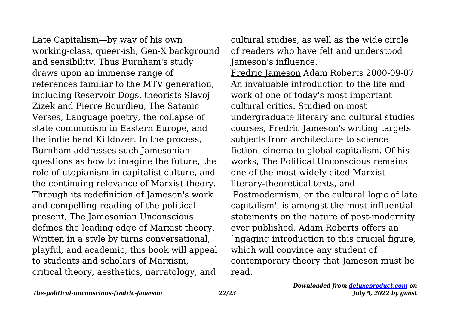Late Capitalism—by way of his own working-class, queer-ish, Gen-X background and sensibility. Thus Burnham's study draws upon an immense range of references familiar to the MTV generation, including Reservoir Dogs, theorists Slavoj Zizek and Pierre Bourdieu, The Satanic Verses, Language poetry, the collapse of state communism in Eastern Europe, and the indie band Killdozer. In the process, Burnham addresses such Jamesonian questions as how to imagine the future, the role of utopianism in capitalist culture, and the continuing relevance of Marxist theory. Through its redefinition of Jameson's work and compelling reading of the political present, The Jamesonian Unconscious defines the leading edge of Marxist theory. Written in a style by turns conversational, playful, and academic, this book will appeal to students and scholars of Marxism, critical theory, aesthetics, narratology, and

cultural studies, as well as the wide circle of readers who have felt and understood Jameson's influence.

Fredric Jameson Adam Roberts 2000-09-07 An invaluable introduction to the life and work of one of today's most important cultural critics. Studied on most undergraduate literary and cultural studies courses, Fredric Jameson's writing targets subjects from architecture to science fiction, cinema to global capitalism. Of his works, The Political Unconscious remains one of the most widely cited Marxist literary-theoretical texts, and 'Postmodernism, or the cultural logic of late capitalism', is amongst the most influential statements on the nature of post-modernity ever published. Adam Roberts offers an `ngaging introduction to this crucial figure, which will convince any student of contemporary theory that Jameson must be read.

*the-political-unconscious-fredric-jameson 22/23*